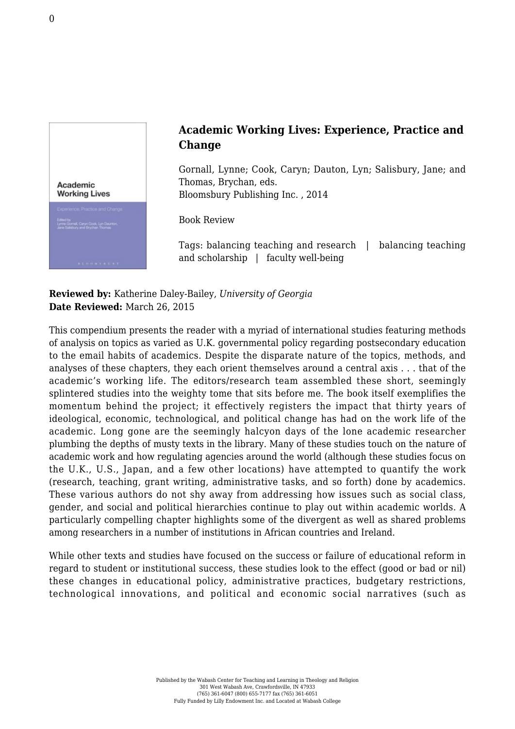

## **Academic Working Lives: Experience, Practice and Change**

Gornall, Lynne; Cook, Caryn; Dauton, Lyn; Salisbury, Jane; and Thomas, Brychan, eds. [Bloomsbury Publishing Inc. , 2014](http://www.bloomsbury.com/us/academic-working-lives-9781441185341/)

Book Review

Tags: balancing teaching and research | balancing teaching and scholarship | faculty well-being

**Reviewed by:** Katherine Daley-Bailey, *University of Georgia* **Date Reviewed:** March 26, 2015

This compendium presents the reader with a myriad of international studies featuring methods of analysis on topics as varied as U.K. governmental policy regarding postsecondary education to the email habits of academics. Despite the disparate nature of the topics, methods, and analyses of these chapters, they each orient themselves around a central axis . . . that of the academic's working life. The editors/research team assembled these short, seemingly splintered studies into the weighty tome that sits before me. The book itself exemplifies the momentum behind the project; it effectively registers the impact that thirty years of ideological, economic, technological, and political change has had on the work life of the academic. Long gone are the seemingly halcyon days of the lone academic researcher plumbing the depths of musty texts in the library. Many of these studies touch on the nature of academic work and how regulating agencies around the world (although these studies focus on the U.K., U.S., Japan, and a few other locations) have attempted to quantify the work (research, teaching, grant writing, administrative tasks, and so forth) done by academics. These various authors do not shy away from addressing how issues such as social class, gender, and social and political hierarchies continue to play out within academic worlds. A particularly compelling chapter highlights some of the divergent as well as shared problems among researchers in a number of institutions in African countries and Ireland.

While other texts and studies have focused on the success or failure of educational reform in regard to student or institutional success, these studies look to the effect (good or bad or nil) these changes in educational policy, administrative practices, budgetary restrictions, technological innovations, and political and economic social narratives (such as